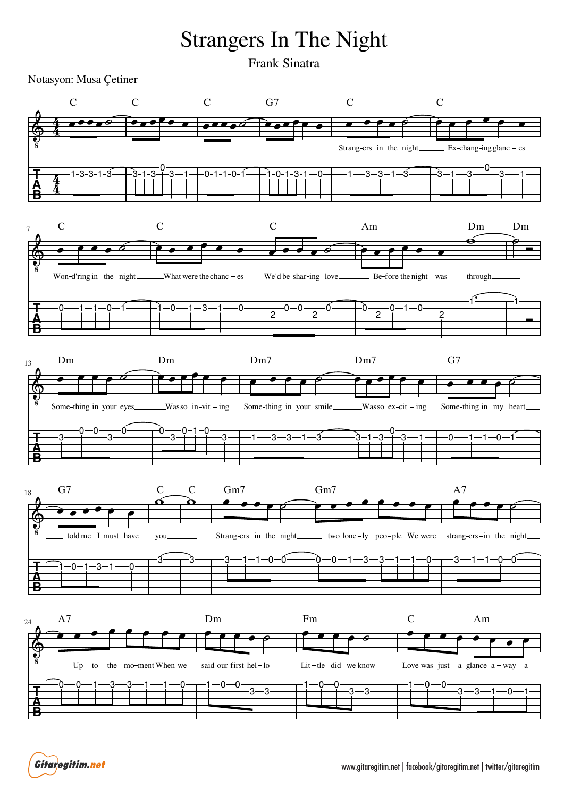## Strangers In The Night

Frank Sinatra

Notasyon: Musa Çetiner